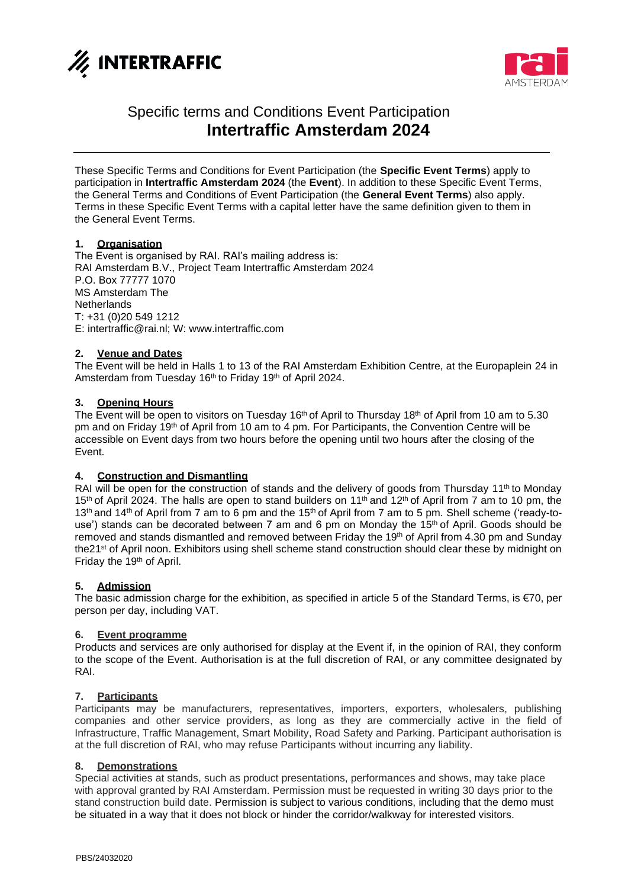



# Specific terms and Conditions Event Participation **Intertraffic Amsterdam 2024**

These Specific Terms and Conditions for Event Participation (the **Specific Event Terms**) apply to participation in **Intertraffic Amsterdam 2024** (the **Event**). In addition to these Specific Event Terms, the General Terms and Conditions of Event Participation (the **General Event Terms**) also apply. Terms in these Specific Event Terms with a capital letter have the same definition given to them in the General Event Terms.

## **1. Organisation**

The Event is organised by RAI. RAI's mailing address is: RAI Amsterdam B.V., Project Team Intertraffic Amsterdam 2024 P.O. Box 77777 1070 MS Amsterdam The **Netherlands** T: +31 (0)20 549 1212 E: intertraffic@rai.nl; W: [www.intertraffic.com](http://www.intertraffic.com/)

## **2. Venue and Dates**

The Event will be held in Halls 1 to 13 of the RAI Amsterdam Exhibition Centre, at the Europaplein 24 in Amsterdam from Tuesday 16<sup>th</sup> to Friday 19<sup>th</sup> of April 2024.

## **3. Opening Hours**

The Event will be open to visitors on Tuesday 16<sup>th</sup> of April to Thursday 18<sup>th</sup> of April from 10 am to 5.30 pm and on Friday 19<sup>th</sup> of April from 10 am to 4 pm. For Participants, the Convention Centre will be accessible on Event days from two hours before the opening until two hours after the closing of the Event.

## **4. Construction and Dismantling**

RAI will be open for the construction of stands and the delivery of goods from Thursday  $11<sup>th</sup>$  to Monday 15<sup>th</sup> of April 2024. The halls are open to stand builders on 11<sup>th</sup> and 12<sup>th</sup> of April from 7 am to 10 pm, the 13<sup>th</sup> and 14<sup>th</sup> of April from 7 am to 6 pm and the 15<sup>th</sup> of April from 7 am to 5 pm. Shell scheme ('ready-touse') stands can be decorated between 7 am and 6 pm on Monday the 15<sup>th</sup> of April. Goods should be removed and stands dismantled and removed between Friday the 19<sup>th</sup> of April from 4.30 pm and Sunday the21<sup>st</sup> of April noon. Exhibitors using shell scheme stand construction should clear these by midnight on Friday the 19<sup>th</sup> of April.

## **5. Admission**

The basic admission charge for the exhibition, as specified in article 5 of the Standard Terms, is €70, per person per day, including VAT.

#### **6. Event programme**

Products and services are only authorised for display at the Event if, in the opinion of RAI, they conform to the scope of the Event. Authorisation is at the full discretion of RAI, or any committee designated by RAI.

#### **7. Participants**

Participants may be manufacturers, representatives, importers, exporters, wholesalers, publishing companies and other service providers, as long as they are commercially active in the field of Infrastructure, Traffic Management, Smart Mobility, Road Safety and Parking. Participant authorisation is at the full discretion of RAI, who may refuse Participants without incurring any liability.

#### **8. Demonstrations**

Special activities at stands, such as product presentations, performances and shows, may take place with approval granted by RAI Amsterdam. Permission must be requested in writing 30 days prior to the stand construction build date. Permission is subject to various conditions, including that the demo must be situated in a way that it does not block or hinder the corridor/walkway for interested visitors.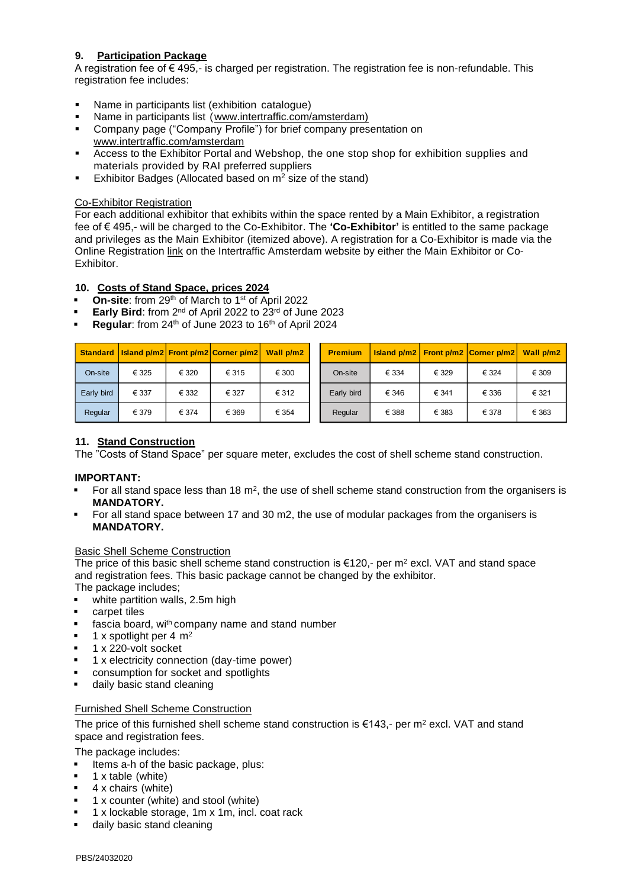## **9. Participation Package**

A registration fee of  $\epsilon$  495,- is charged per registration. The registration fee is non-refundable. This registration fee includes:

- Name in participants list (exhibition catalogue)
- Name in participants list [\(www.intertraffic.com/amsterdam\)](http://www.intertraffic.com/amsterdam)
- Company page ("Company Profile") for brief company presentation on [www.intertraffic.com/amsterdam](http://www.intertraffic.com/amsterdam)
- Access to the Exhibitor Portal and Webshop, the one stop shop for exhibition supplies and materials provided by RAI preferred suppliers
- Exhibitor Badges (Allocated based on  $m^2$  size of the stand)

#### Co-Exhibitor Registration

For each additional exhibitor that exhibits within the space rented by a Main Exhibitor, a registration fee of € 495,- will be charged to the Co-Exhibitor. The **'Co-Exhibitor'** is entitled to the same package and privileges as the Main Exhibitor (itemized above). A registration for a Co-Exhibitor is made via the Online Registration [link](https://webportal.rai.nl/app85.cshtml?AppCode=ESC&EvtID=23958&OrgCode=50) on the Intertraffic Amsterdam website by either the Main Exhibitor or Co-Exhibitor.

## **10. Costs of Stand Space, prices 2024**

- On-site: from 29<sup>th</sup> of March to 1<sup>st</sup> of April 2022
- Early Bird: from 2<sup>nd</sup> of April 2022 to 23<sup>rd</sup> of June 2023
- Regular: from 24<sup>th</sup> of June 2023 to 16<sup>th</sup> of April 2024

| <b>Standard</b>                                                                                                                                                                                                                                                                                                                                                                                                                                                                                                                                                                                       |                                                                                                                                                                              |       | Island p/m2 Front p/m2 Corner p/m2                                                                                               | Wall p/m2 |  | <b>Premium</b>                                                                                                         | <b>Island p/m2</b> | Front p/m2 | Corner p/m2 | Wall p/m2 |
|-------------------------------------------------------------------------------------------------------------------------------------------------------------------------------------------------------------------------------------------------------------------------------------------------------------------------------------------------------------------------------------------------------------------------------------------------------------------------------------------------------------------------------------------------------------------------------------------------------|------------------------------------------------------------------------------------------------------------------------------------------------------------------------------|-------|----------------------------------------------------------------------------------------------------------------------------------|-----------|--|------------------------------------------------------------------------------------------------------------------------|--------------------|------------|-------------|-----------|
| On-site                                                                                                                                                                                                                                                                                                                                                                                                                                                                                                                                                                                               | € 325                                                                                                                                                                        | € 320 | € 315                                                                                                                            | € 300     |  | On-site                                                                                                                | € 334              | € 329      | € 324       | € 309     |
| Early bird                                                                                                                                                                                                                                                                                                                                                                                                                                                                                                                                                                                            | € 337                                                                                                                                                                        | € 332 | € 327                                                                                                                            | € 312     |  | Early bird                                                                                                             | € 346              | € 341      | € 336       | € 321     |
| Regular                                                                                                                                                                                                                                                                                                                                                                                                                                                                                                                                                                                               | € 379                                                                                                                                                                        | € 374 | € 369                                                                                                                            | € 354     |  | Regular                                                                                                                | € 388              | € 383      | € 378       | € 363     |
| 11. Stand Construction<br>The "Costs of Stand Space" per square meter, excludes the cost of shell scheme stand construction.<br><b>IMPORTANT:</b><br>For all stand space less than 18 $m^2$ , the use of shell scheme stand construction from the organisers is<br><b>MANDATORY.</b><br>For all stand space between 17 and 30 m2, the use of modular packages from the organisers is<br>٠<br><b>MANDATORY.</b>                                                                                                                                                                                        |                                                                                                                                                                              |       |                                                                                                                                  |           |  |                                                                                                                        |                    |            |             |           |
| <b>Basic Shell Scheme Construction</b><br>The price of this basic shell scheme stand construction is $\epsilon$ 120,- per m <sup>2</sup> excl. VAT and stand space<br>and registration fees. This basic package cannot be changed by the exhibitor.<br>The package includes;<br>white partition walls, 2.5m high<br>٠<br>carpet tiles<br>٠<br>fascia board, with company name and stand number<br>٠<br>1 x spotlight per 4 $m2$<br>٠<br>1 x 220-volt socket<br>٠<br>1 x electricity connection (day-time power)<br>٠<br>consumption for socket and spotlights<br>٠<br>daily basic stand cleaning<br>۰ |                                                                                                                                                                              |       |                                                                                                                                  |           |  |                                                                                                                        |                    |            |             |           |
| ٠<br>٠<br>٠<br>٠<br>٠<br>٠                                                                                                                                                                                                                                                                                                                                                                                                                                                                                                                                                                            | <b>Furnished Shell Scheme Construction</b><br>space and registration fees.<br>The package includes:<br>1 x table (white)<br>4 x chairs (white)<br>daily basic stand cleaning |       | Items a-h of the basic package, plus:<br>1 x counter (white) and stool (white)<br>1 x lockable storage, 1m x 1m, incl. coat rack |           |  | The price of this furnished shell scheme stand construction is $\epsilon$ 143,- per m <sup>2</sup> excl. VAT and stand |                    |            |             |           |

## **11. Stand Construction**

## **IMPORTANT:**

- $\blacksquare$  For all stand space less than 18 m<sup>2</sup>, the use of shell scheme stand construction from the organisers is **MANDATORY.**
- For all stand space between 17 and 30 m2, the use of modular packages from the organisers is **MANDATORY.**

## Basic Shell Scheme Construction

- white partition walls, 2.5m high
- carpet tiles
- fascia board, wi<sup>th</sup> company name and stand number
- 1 x spotlight per 4  $m<sup>2</sup>$
- 1 x 220-volt socket
- 1 x electricity connection (day-time power)
- consumption for socket and spotlights
- daily basic stand cleaning

## Furnished Shell Scheme Construction

- Items a-h of the basic package, plus:
- $1 x$  table (white)
- 4 x chairs (white)
- 1 x counter (white) and stool (white)
- 1 x lockable storage, 1m x 1m, incl. coat rack
-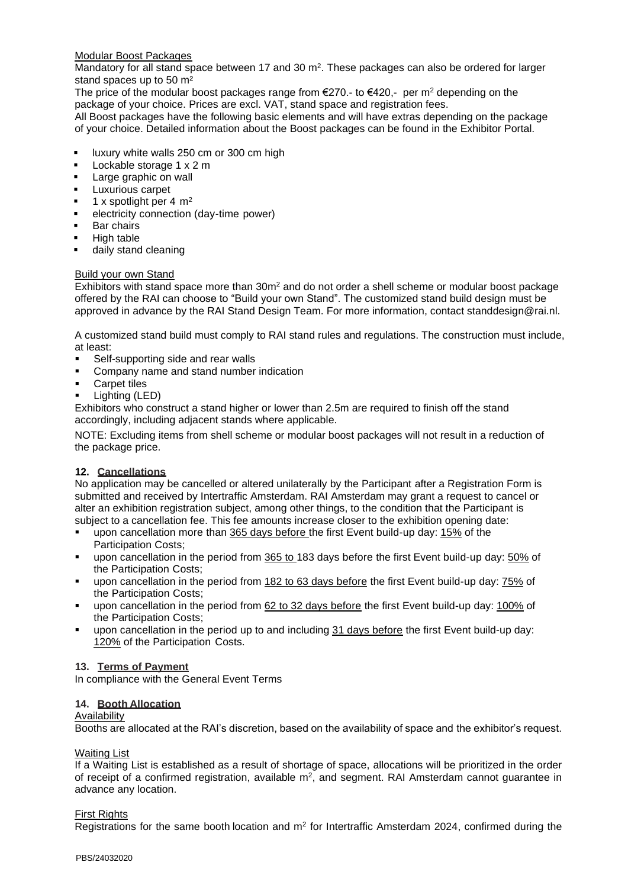## Modular Boost Packages

Mandatory for all stand space between 17 and 30  $\text{m}^2$ . These packages can also be ordered for larger stand spaces up to 50 m<sup>2</sup>

The price of the modular boost packages range from  $E$ 270.- to  $E$ 420.- per m<sup>2</sup> depending on the package of your choice. Prices are excl. VAT, stand space and registration fees.

All Boost packages have the following basic elements and will have extras depending on the package of your choice. Detailed information about the Boost packages can be found in the Exhibitor Portal.

- luxury white walls 250 cm or 300 cm high
- Lockable storage 1 x 2 m
- Large graphic on wall
- **Luxurious carpet**
- 1 x spotlight per 4  $m<sup>2</sup>$
- electricity connection (day-time power)
- **Bar chairs**
- High table
- daily stand cleaning

#### Build your own Stand

Exhibitors with stand space more than  $30<sup>m</sup>$  and do not order a shell scheme or modular boost package offered by the RAI can choose to "Build your own Stand". The customized stand build design must be approved in advance by the RAI Stand Design Team. For more information, contact standdesign@rai.nl.

A customized stand build must comply to RAI stand rules and regulations. The construction must include, at least:

- Self-supporting side and rear walls
- Company name and stand number indication
- **Carpet tiles**
- Lighting (LED)

Exhibitors who construct a stand higher or lower than 2.5m are required to finish off the stand accordingly, including adjacent stands where applicable.

NOTE: Excluding items from shell scheme or modular boost packages will not result in a reduction of the package price.

## **12. Cancellations**

No application may be cancelled or altered unilaterally by the Participant after a Registration Form is submitted and received by Intertraffic Amsterdam. RAI Amsterdam may grant a request to cancel or alter an exhibition registration subject, among other things, to the condition that the Participant is subject to a cancellation fee. This fee amounts increase closer to the exhibition opening date:

- upon cancellation more than 365 days before the first Event build-up day: 15% of the Participation Costs;
- upon cancellation in the period from 365 to 183 days before the first Event build-up day: 50% of the Participation Costs;
- **•** upon cancellation in the period from 182 to 63 days before the first Event build-up day: 75% of the Participation Costs;
- upon cancellation in the period from 62 to 32 days before the first Event build-up day: 100% of the Participation Costs;
- upon cancellation in the period up to and including 31 days before the first Event build-up day: 120% of the Participation Costs.

#### **13. Terms of Payment**

In compliance with the General Event Terms

## **14. Booth Allocation**

#### Availability

Booths are allocated at the RAI's discretion, based on the availability of space and the exhibitor's request.

#### **Waiting List**

If a Waiting List is established as a result of shortage of space, allocations will be prioritized in the order of receipt of a confirmed registration, available  $m^2$ , and segment. RAI Amsterdam cannot guarantee in advance any location.

#### First Rights

Registrations for the same booth location and  $m<sup>2</sup>$  for Intertraffic Amsterdam 2024, confirmed during the